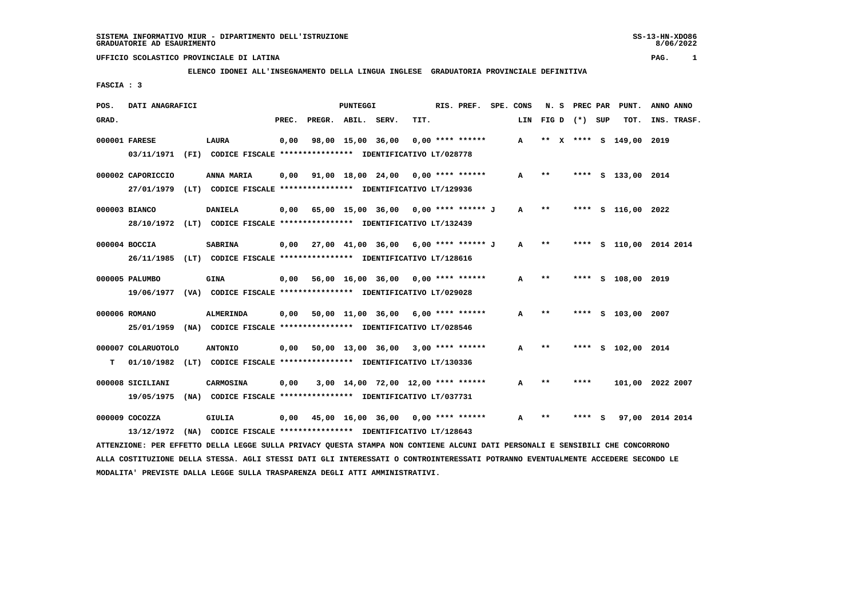8/06/2022

## **UFFICIO SCOLASTICO PROVINCIALE DI LATINA PAG. 1**

# **ELENCO IDONEI ALL'INSEGNAMENTO DELLA LINGUA INGLESE GRADUATORIA PROVINCIALE DEFINITIVA**

 **FASCIA : 3**

| POS.  | DATI ANAGRAFICI                  |                                                                                           |       |                                             | <b>PUNTEGGI</b> |                                    |      | RIS. PREF.         | SPE. CONS    |               | N. S PREC PAR   | PUNT.              | ANNO ANNO          |
|-------|----------------------------------|-------------------------------------------------------------------------------------------|-------|---------------------------------------------|-----------------|------------------------------------|------|--------------------|--------------|---------------|-----------------|--------------------|--------------------|
| GRAD. |                                  |                                                                                           | PREC. | PREGR. ABIL. SERV.                          |                 |                                    | TIT. |                    | LIN          |               | FIG D $(*)$ SUP | TOT.               | INS. TRASF.        |
|       | 000001 FARESE                    | <b>LAURA</b><br>03/11/1971 (FI) CODICE FISCALE *************** IDENTIFICATIVO LT/028778   | 0,00  | 98,00 15,00 36,00                           |                 |                                    |      | $0,00$ **** ****** | A            |               |                 | ** X **** S 149,00 | 2019               |
|       | 000002 CAPORICCIO                | ANNA MARIA<br>27/01/1979 (LT) CODICE FISCALE *************** IDENTIFICATIVO LT/129936     | 0.00  | 91,00 18,00 24,00 0,00 **** ******          |                 |                                    |      |                    | A            | $***$         |                 | **** S 133,00 2014 |                    |
|       | 000003 BIANCO                    | <b>DANIELA</b><br>28/10/1972 (LT) CODICE FISCALE *************** IDENTIFICATIVO LT/132439 |       | 0,00 65,00 15,00 36,00 0,00 **** ****** J   |                 |                                    |      |                    | $\mathbf{A}$ | $\star \star$ |                 | **** S 116,00 2022 |                    |
|       | 000004 BOCCIA                    | <b>SABRINA</b><br>26/11/1985 (LT) CODICE FISCALE *************** IDENTIFICATIVO LT/128616 |       | $0,00$ 27,00 41,00 36,00 6,00 **** ****** J |                 |                                    |      |                    | A            | $* *$         | ****            |                    | S 110,00 2014 2014 |
|       | 000005 PALUMBO                   | <b>GINA</b><br>19/06/1977 (VA) CODICE FISCALE *************** IDENTIFICATIVO LT/029028    |       | $0,00$ 56,00 16,00 36,00 0,00 **** ******   |                 |                                    |      |                    | A            | **            |                 | **** S 108,00 2019 |                    |
|       | 000006 ROMANO                    | ALMERINDA<br>25/01/1959 (NA) CODICE FISCALE *************** IDENTIFICATIVO LT/028546      |       | $0,00$ 50,00 11,00 36,00 6,00 **** ******   |                 |                                    |      |                    | A            | $***$         |                 | **** S 103,00 2007 |                    |
| т     | 000007 COLARUOTOLO<br>01/10/1982 | <b>ANTONIO</b><br>(LT) CODICE FISCALE **************** IDENTIFICATIVO LT/130336           |       | $0.00$ 50.00 13.00 36.00 3.00 **** ******   |                 |                                    |      |                    | A            | $* *$         |                 | **** S 102,00 2014 |                    |
|       | 000008 SICILIANI<br>19/05/1975   | <b>CARMOSINA</b><br>(NA) CODICE FISCALE **************** IDENTIFICATIVO LT/037731         | 0,00  |                                             |                 | 3,00 14,00 72,00 12,00 **** ****** |      |                    | A            | **            | ****            |                    | 101,00 2022 2007   |
|       | $000009$ $COCOZZA$<br>13/12/1972 | <b>GIULIA</b><br>(NA) CODICE FISCALE **************** IDENTIFICATIVO LT/128643            |       | $0,00$ 45,00 16,00 36,00 0,00 **** ******   |                 |                                    |      |                    | A            | $***$         | **** S          |                    | 97,00 2014 2014    |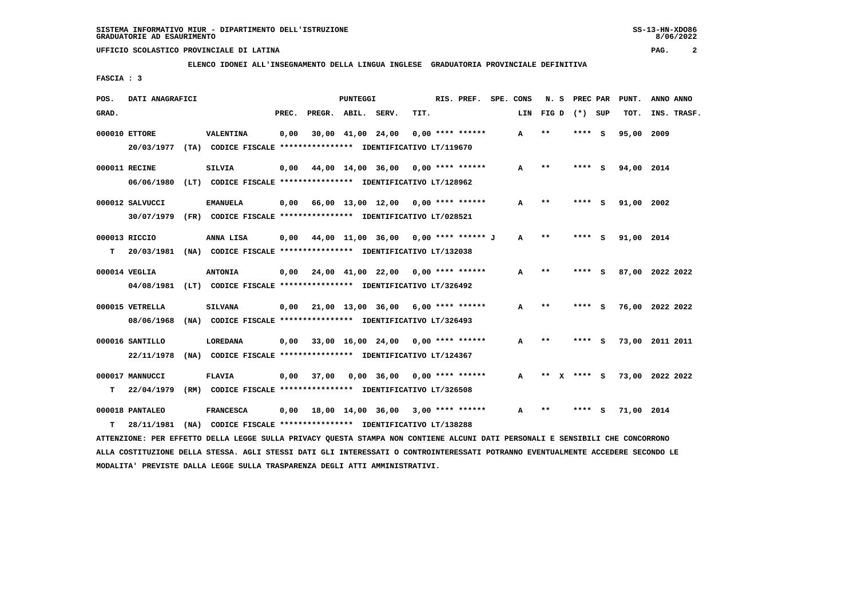**ELENCO IDONEI ALL'INSEGNAMENTO DELLA LINGUA INGLESE GRADUATORIA PROVINCIALE DEFINITIVA**

 **FASCIA : 3**

| POS.  | DATI ANAGRAFICI |                                                               |       | PUNTEGGI           |  |                                           | RIS. PREF. | SPE. CONS          | N. S |       | PREC PAR |                 | PUNT. | ANNO ANNO  |                 |
|-------|-----------------|---------------------------------------------------------------|-------|--------------------|--|-------------------------------------------|------------|--------------------|------|-------|----------|-----------------|-------|------------|-----------------|
| GRAD. |                 |                                                               | PREC. | PREGR. ABIL. SERV. |  |                                           | TIT.       |                    | LIN  |       |          | FIG D $(*)$ SUP |       | TOT.       | INS. TRASF.     |
|       | 000010 ETTORE   | VALENTINA                                                     | 0,00  |                    |  | 30,00 41,00 24,00                         |            | $0,00$ **** ****** | A    | $* *$ |          | ****            | - S   | 95,00 2009 |                 |
|       | 20/03/1977      | (TA) CODICE FISCALE **************** IDENTIFICATIVO LT/119670 |       |                    |  |                                           |            |                    |      |       |          |                 |       |            |                 |
|       | 000011 RECINE   | <b>SILVIA</b>                                                 | 0.00  |                    |  | 44,00 14,00 36,00 0,00 **** ******        |            |                    | A    | $* *$ |          | **** S          |       | 94,00 2014 |                 |
|       | 06/06/1980      | (LT) CODICE FISCALE **************** IDENTIFICATIVO LT/128962 |       |                    |  |                                           |            |                    |      |       |          |                 |       |            |                 |
|       | 000012 SALVUCCI | <b>EMANUELA</b>                                               | 0,00  |                    |  | 66,00 13,00 12,00 0,00 **** ******        |            |                    | А    | $***$ |          | ****            | - 5   | 91,00 2002 |                 |
|       | 30/07/1979      | (FR) CODICE FISCALE **************** IDENTIFICATIVO LT/028521 |       |                    |  |                                           |            |                    |      |       |          |                 |       |            |                 |
|       | 000013 RICCIO   | ANNA LISA                                                     | 0,00  |                    |  | 44,00 11,00 36,00 0,00 **** ****** J      |            |                    | A    | $* *$ |          | **** S          |       | 91,00 2014 |                 |
| т     | 20/03/1981      | (NA) CODICE FISCALE **************** IDENTIFICATIVO LT/132038 |       |                    |  |                                           |            |                    |      |       |          |                 |       |            |                 |
|       | 000014 VEGLIA   | <b>ANTONIA</b>                                                |       |                    |  | $0,00$ 24,00 41,00 22,00 0,00 **** ****** |            |                    | A    | $**$  |          | ****            | - 5   |            | 87,00 2022 2022 |
|       | 04/08/1981      | (LT) CODICE FISCALE **************** IDENTIFICATIVO LT/326492 |       |                    |  |                                           |            |                    |      |       |          |                 |       |            |                 |
|       | 000015 VETRELLA | <b>SILVANA</b>                                                | 0,00  |                    |  | 21,00 13,00 36,00 6,00 **** ******        |            |                    | A    | $* *$ |          | **** S          |       |            | 76,00 2022 2022 |
|       | 08/06/1968      | (NA) CODICE FISCALE **************** IDENTIFICATIVO LT/326493 |       |                    |  |                                           |            |                    |      |       |          |                 |       |            |                 |
|       | 000016 SANTILLO | <b>LOREDANA</b>                                               | 0,00  |                    |  | 33,00 16,00 24,00 0,00 **** ******        |            |                    | A    | $* *$ |          | ****            | - 5   |            | 73,00 2011 2011 |
|       | 22/11/1978      | (NA) CODICE FISCALE **************** IDENTIFICATIVO LT/124367 |       |                    |  |                                           |            |                    |      |       |          |                 |       |            |                 |
|       | 000017 MANNUCCI | <b>FLAVIA</b>                                                 | 0,00  | 37,00              |  | $0,00$ 36,00 0,00 **** ******             |            |                    | A    |       | x        | **** S          |       |            | 73,00 2022 2022 |
| т     | 22/04/1979      | (RM) CODICE FISCALE **************** IDENTIFICATIVO LT/326508 |       |                    |  |                                           |            |                    |      |       |          |                 |       |            |                 |
|       | 000018 PANTALEO | <b>FRANCESCA</b>                                              |       |                    |  | 0,00 18,00 14,00 36,00                    |            | $3,00$ **** ****** | A    | $* *$ |          | ****            | - S   | 71,00      | 2014            |
| т     | 28/11/1981      | (NA) CODICE FISCALE **************** IDENTIFICATIVO LT/138288 |       |                    |  |                                           |            |                    |      |       |          |                 |       |            |                 |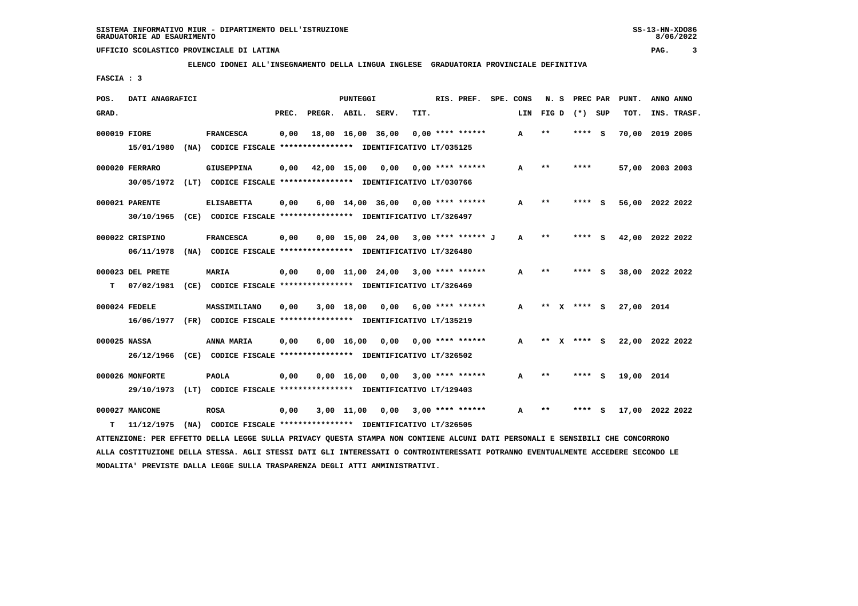**ELENCO IDONEI ALL'INSEGNAMENTO DELLA LINGUA INGLESE GRADUATORIA PROVINCIALE DEFINITIVA**

 **FASCIA : 3**

| POS.         | DATI ANAGRAFICI  |      |                                                               |       |                    | PUNTEGGI           |                                       |      | RIS. PREF.         | SPE. CONS | N.S          |   | PREC PAR |          | PUNT.      | ANNO ANNO       |
|--------------|------------------|------|---------------------------------------------------------------|-------|--------------------|--------------------|---------------------------------------|------|--------------------|-----------|--------------|---|----------|----------|------------|-----------------|
| GRAD.        |                  |      |                                                               | PREC. | PREGR. ABIL. SERV. |                    |                                       | TIT. |                    | LIN       | FIG D        |   | $(*)$    | SUP      | TOT.       | INS. TRASF.     |
| 000019 FIORE |                  |      | <b>FRANCESCA</b>                                              | 0,00  |                    |                    | 18,00 16,00 36,00                     |      | $0.00$ **** ****** | A         | $**$         |   | ****     | - S      |            | 70,00 2019 2005 |
|              | 15/01/1980       |      | (NA) CODICE FISCALE **************** IDENTIFICATIVO LT/035125 |       |                    |                    |                                       |      |                    |           |              |   |          |          |            |                 |
|              | 000020 FERRARO   |      | <b>GIUSEPPINA</b>                                             | 0.00  |                    | 42,00 15,00        | 0,00                                  |      | $0.00$ **** ****** | A         | $* *$        |   | ****     |          |            | 57,00 2003 2003 |
|              | 30/05/1972       |      | (LT) CODICE FISCALE **************** IDENTIFICATIVO LT/030766 |       |                    |                    |                                       |      |                    |           |              |   |          |          |            |                 |
|              | 000021 PARENTE   |      | <b>ELISABETTA</b>                                             | 0,00  |                    |                    | $6,00$ 14,00 36,00 0,00 **** ******   |      |                    | A         | $***$        |   |          | s        | 56,00      | 2022 2022       |
|              | 30/10/1965       |      | (CE) CODICE FISCALE **************** IDENTIFICATIVO LT/326497 |       |                    |                    |                                       |      |                    |           |              |   |          |          |            |                 |
|              | 000022 CRISPINO  |      | <b>FRANCESCA</b>                                              | 0,00  |                    |                    | $0.00$ 15.00 24.00 3.00 **** ****** J |      |                    | A         | $* *$        |   | ****     | <b>S</b> | 42,00      | 2022 2022       |
|              | 06/11/1978       |      | (NA) CODICE FISCALE **************** IDENTIFICATIVO LT/326480 |       |                    |                    |                                       |      |                    |           |              |   |          |          |            |                 |
|              | 000023 DEL PRETE |      | <b>MARIA</b>                                                  | 0,00  |                    |                    | 0,00 11,00 24,00                      |      | $3,00$ **** ****** | A         | $* *$        |   | ****     | <b>S</b> |            | 38,00 2022 2022 |
| т            | 07/02/1981       |      | (CE) CODICE FISCALE **************** IDENTIFICATIVO LT/326469 |       |                    |                    |                                       |      |                    |           |              |   |          |          |            |                 |
|              | 000024 FEDELE    |      | MASSIMILIANO                                                  | 0.00  |                    | 3,00 18,00         | 0,00                                  |      | $6.00$ **** ****** | A         | **           | x | **** S   |          | 27,00 2014 |                 |
|              | 16/06/1977       |      | (FR) CODICE FISCALE **************** IDENTIFICATIVO LT/135219 |       |                    |                    |                                       |      |                    |           |              |   |          |          |            |                 |
| 000025 NASSA |                  |      | ANNA MARIA                                                    | 0,00  |                    | $6,00 \quad 16,00$ | 0.00                                  |      | $0.00$ **** ****** | A         | $\star\star$ | x | **** S   |          |            | 22,00 2022 2022 |
|              | 26/12/1966       |      | (CE) CODICE FISCALE **************** IDENTIFICATIVO LT/326502 |       |                    |                    |                                       |      |                    |           |              |   |          |          |            |                 |
|              | 000026 MONFORTE  |      | <b>PAOLA</b>                                                  | 0,00  |                    | 0.00 16.00         | 0,00                                  |      | $3,00$ **** ****** | A         | $* *$        |   |          | - s      | 19,00 2014 |                 |
|              | 29/10/1973       | (LT) | CODICE FISCALE **************** IDENTIFICATIVO LT/129403      |       |                    |                    |                                       |      |                    |           |              |   |          |          |            |                 |
|              | 000027 MANCONE   |      | <b>ROSA</b>                                                   | 0,00  |                    | 3,00 11,00         | 0,00                                  |      | $3,00$ **** ****** | A         | $* *$        |   |          | s        |            | 17,00 2022 2022 |
| т            | 11/12/1975       |      | (NA) CODICE FISCALE **************** IDENTIFICATIVO LT/326505 |       |                    |                    |                                       |      |                    |           |              |   |          |          |            |                 |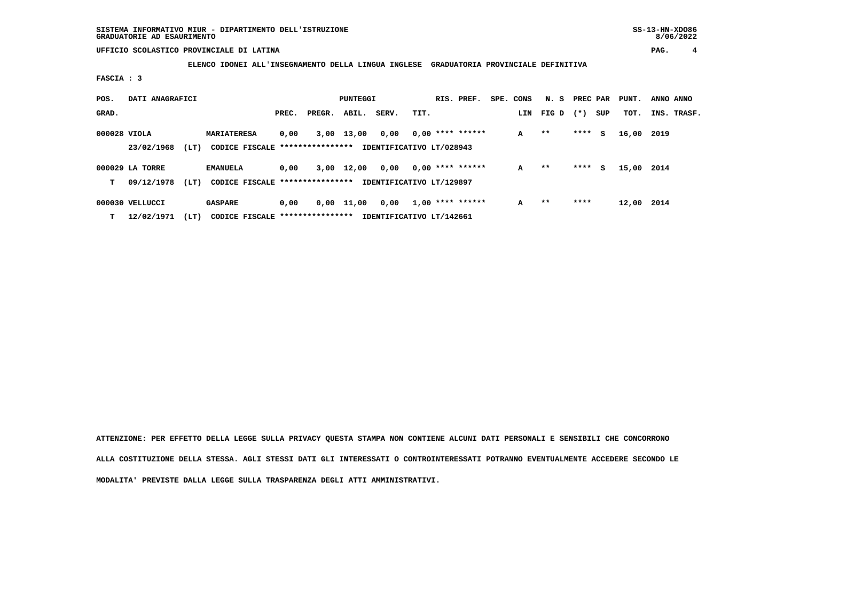**ELENCO IDONEI ALL'INSEGNAMENTO DELLA LINGUA INGLESE GRADUATORIA PROVINCIALE DEFINITIVA**

 **FASCIA : 3**

| POS.         | DATI ANAGRAFICI               |      |                                                        | PUNTEGGI |        |       |                                  |      |  | RIS. PREF.         | SPE. CONS | N. S  | PREC PAR |     | PUNT. | ANNO ANNO   |  |
|--------------|-------------------------------|------|--------------------------------------------------------|----------|--------|-------|----------------------------------|------|--|--------------------|-----------|-------|----------|-----|-------|-------------|--|
| GRAD.        |                               |      |                                                        | PREC.    | PREGR. | ABIL. | SERV.                            | TIT. |  |                    | LIN       | FIG D | $(* )$   | SUP | TOT.  | INS. TRASF. |  |
| 000028 VIOLA | 23/02/1968                    | (LT) | <b>MARIATERESA</b><br>CODICE FISCALE ***************** | 0,00     | 3,00   | 13,00 | 0,00<br>IDENTIFICATIVO LT/028943 |      |  | $0,00$ **** ****** | A         | $* *$ | ****     | s   | 16,00 | 2019        |  |
| T.           | 000029 LA TORRE<br>09/12/1978 | (LT) | <b>EMANUELA</b><br>CODICE FISCALE *****************    | 0,00     | 3,00   | 12,00 | 0,00<br>IDENTIFICATIVO LT/129897 |      |  | $0,00$ **** ****** | A         | $* *$ | ****     | s   | 15,00 | 2014        |  |
| T.           | 000030 VELLUCCI<br>12/02/1971 | (LT) | <b>GASPARE</b><br>CODICE FISCALE *****************     | 0,00     | 0,00   | 11,00 | 0,00<br>IDENTIFICATIVO LT/142661 |      |  | $1,00$ **** ****** | A         | $* *$ | ****     |     | 12,00 | 2014        |  |